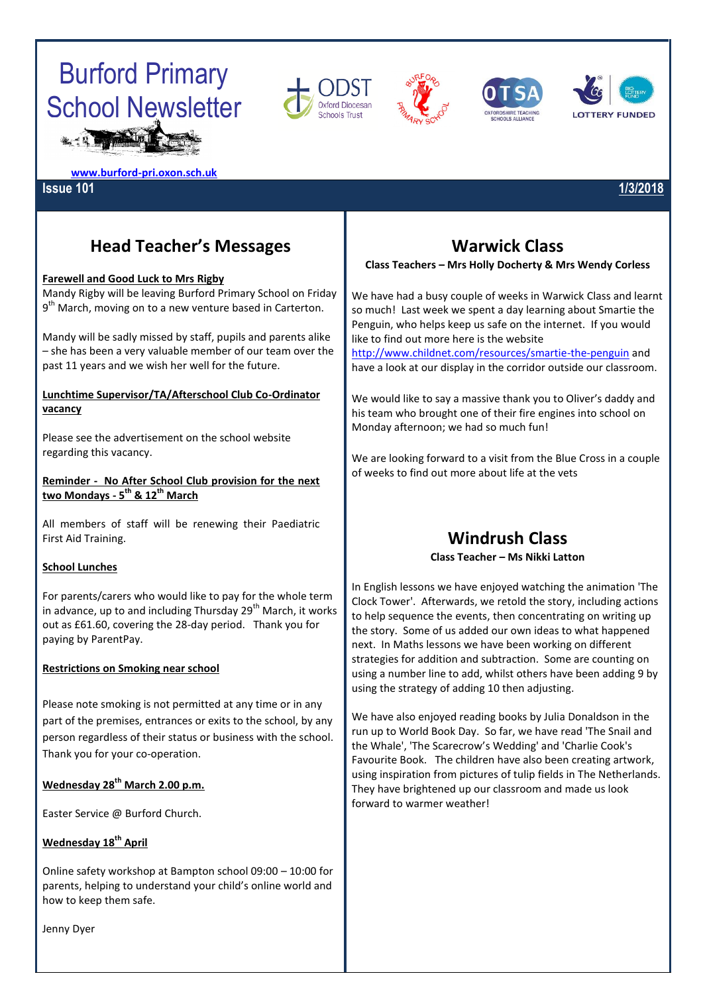# Burford Primary School Newsletter









**[www.burford-pri.oxon.sch.uk](http://www.burford-pri.oxon.sch.uk/)**

#### **Issue 101 1/3/2018**

# **Head Teacher's Messages**

#### **Farewell and Good Luck to Mrs Rigby**

Mandy Rigby will be leaving Burford Primary School on Friday 9<sup>th</sup> March, moving on to a new venture based in Carterton.

Mandy will be sadly missed by staff, pupils and parents alike – she has been a very valuable member of our team over the past 11 years and we wish her well for the future.

#### **Lunchtime Supervisor/TA/Afterschool Club Co-Ordinator vacancy**

Please see the advertisement on the school website regarding this vacancy.

**Reminder - No After School Club provision for the next two Mondays - 5 th & 12th March**

All members of staff will be renewing their Paediatric First Aid Training.

#### **School Lunches**

For parents/carers who would like to pay for the whole term in advance, up to and including Thursday 29<sup>th</sup> March, it works out as £61.60, covering the 28-day period. Thank you for paying by ParentPay.

#### **Restrictions on Smoking near school**

Please note smoking is not permitted at any time or in any part of the premises, entrances or exits to the school, by any person regardless of their status or business with the school. Thank you for your co-operation.

#### **Wednesday 28th March 2.00 p.m.**

Easter Service @ Burford Church.

#### **Wednesday 18th April**

Online safety workshop at Bampton school 09:00 – 10:00 for parents, helping to understand your child's online world and how to keep them safe.

# **Warwick Class**

#### **Class Teachers – Mrs Holly Docherty & Mrs Wendy Corless**

We have had a busy couple of weeks in Warwick Class and learnt so much! Last week we spent a day learning about Smartie the Penguin, who helps keep us safe on the internet. If you would like to find out more here is the website

<http://www.childnet.com/resources/smartie-the-penguin> and have a look at our display in the corridor outside our classroom.

We would like to say a massive thank you to Oliver's daddy and his team who brought one of their fire engines into school on Monday afternoon; we had so much fun!

We are looking forward to a visit from the Blue Cross in a couple of weeks to find out more about life at the vets

# **Windrush Class**

**Class Teacher – Ms Nikki Latton**

In English lessons we have enjoyed watching the animation 'The Clock Tower'. Afterwards, we retold the story, including actions to help sequence the events, then concentrating on writing up the story. Some of us added our own ideas to what happened next. In Maths lessons we have been working on different strategies for addition and subtraction. Some are counting on using a number line to add, whilst others have been adding 9 by using the strategy of adding 10 then adjusting.

We have also enjoyed reading books by Julia Donaldson in the run up to World Book Day. So far, we have read 'The Snail and the Whale', 'The Scarecrow's Wedding' and 'Charlie Cook's Favourite Book. The children have also been creating artwork, using inspiration from pictures of tulip fields in The Netherlands. They have brightened up our classroom and made us look forward to warmer weather!

Jenny Dyer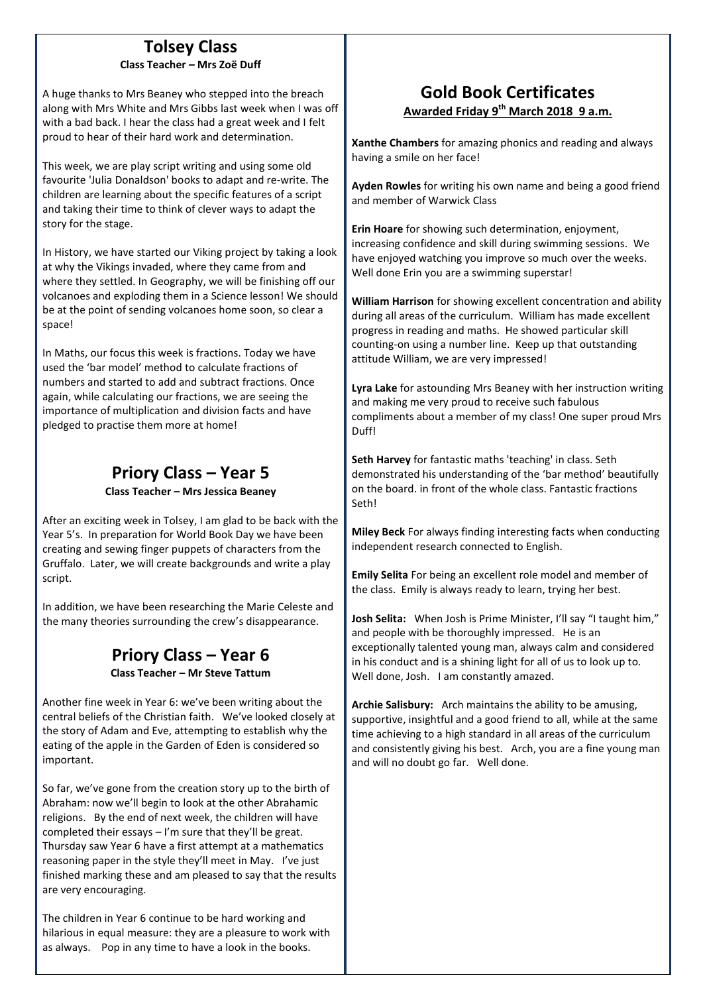#### **Tolsey Class Class Teacher – Mrs Zoë Duff**

A huge thanks to Mrs Beaney who stepped into the breach along with Mrs White and Mrs Gibbs last week when I was off with a bad back. I hear the class had a great week and I felt proud to hear of their hard work and determination.

This week, we are play script writing and using some old favourite 'Julia Donaldson' books to adapt and re-write. The children are learning about the specific features of a script and taking their time to think of clever ways to adapt the story for the stage.

In History, we have started our Viking project by taking a look at why the Vikings invaded, where they came from and where they settled. In Geography, we will be finishing off our volcanoes and exploding them in a Science lesson! We should be at the point of sending volcanoes home soon, so clear a space!

In Maths, our focus this week is fractions. Today we have used the 'bar model' method to calculate fractions of numbers and started to add and subtract fractions. Once again, while calculating our fractions, we are seeing the importance of multiplication and division facts and have pledged to practise them more at home!

# **Priory Class – Year 5**

**Class Teacher – Mrs Jessica Beaney**

After an exciting week in Tolsey, I am glad to be back with the Year 5's. In preparation for World Book Day we have been creating and sewing finger puppets of characters from the Gruffalo. Later, we will create backgrounds and write a play script.

In addition, we have been researching the Marie Celeste and the many theories surrounding the crew's disappearance.

### **Priory Class – Year 6 Class Teacher – Mr Steve Tattum**

Another fine week in Year 6: we've been writing about the central beliefs of the Christian faith. We've looked closely at the story of Adam and Eve, attempting to establish why the eating of the apple in the Garden of Eden is considered so important.

So far, we've gone from the creation story up to the birth of Abraham: now we'll begin to look at the other Abrahamic religions. By the end of next week, the children will have completed their essays – I'm sure that they'll be great. Thursday saw Year 6 have a first attempt at a mathematics reasoning paper in the style they'll meet in May. I've just finished marking these and am pleased to say that the results are very encouraging.

The children in Year 6 continue to be hard working and hilarious in equal measure: they are a pleasure to work with as always. Pop in any time to have a look in the books.

# **Gold Book Certificates Awarded Friday 9 th March 2018 9 a.m.**

**Xanthe Chambers** for amazing phonics and reading and always having a smile on her face!

**Ayden Rowles** for writing his own name and being a good friend and member of Warwick Class

**Erin Hoare** for showing such determination, enjoyment, increasing confidence and skill during swimming sessions. We have enjoyed watching you improve so much over the weeks. Well done Erin you are a swimming superstar!

**William Harrison** for showing excellent concentration and ability during all areas of the curriculum. William has made excellent progress in reading and maths. He showed particular skill counting-on using a number line. Keep up that outstanding attitude William, we are very impressed!

**Lyra Lake** for astounding Mrs Beaney with her instruction writing and making me very proud to receive such fabulous compliments about a member of my class! One super proud Mrs Duff!

**Seth Harvey** for fantastic maths 'teaching' in class. Seth demonstrated his understanding of the 'bar method' beautifully on the board. in front of the whole class. Fantastic fractions Seth!

**Miley Beck** For always finding interesting facts when conducting independent research connected to English.

**Emily Selita** For being an excellent role model and member of the class. Emily is always ready to learn, trying her best.

**Josh Selita:** When Josh is Prime Minister, I'll say "I taught him," and people with be thoroughly impressed. He is an exceptionally talented young man, always calm and considered in his conduct and is a shining light for all of us to look up to. Well done, Josh. I am constantly amazed.

**Archie Salisbury:** Arch maintains the ability to be amusing, supportive, insightful and a good friend to all, while at the same time achieving to a high standard in all areas of the curriculum and consistently giving his best. Arch, you are a fine young man and will no doubt go far. Well done.